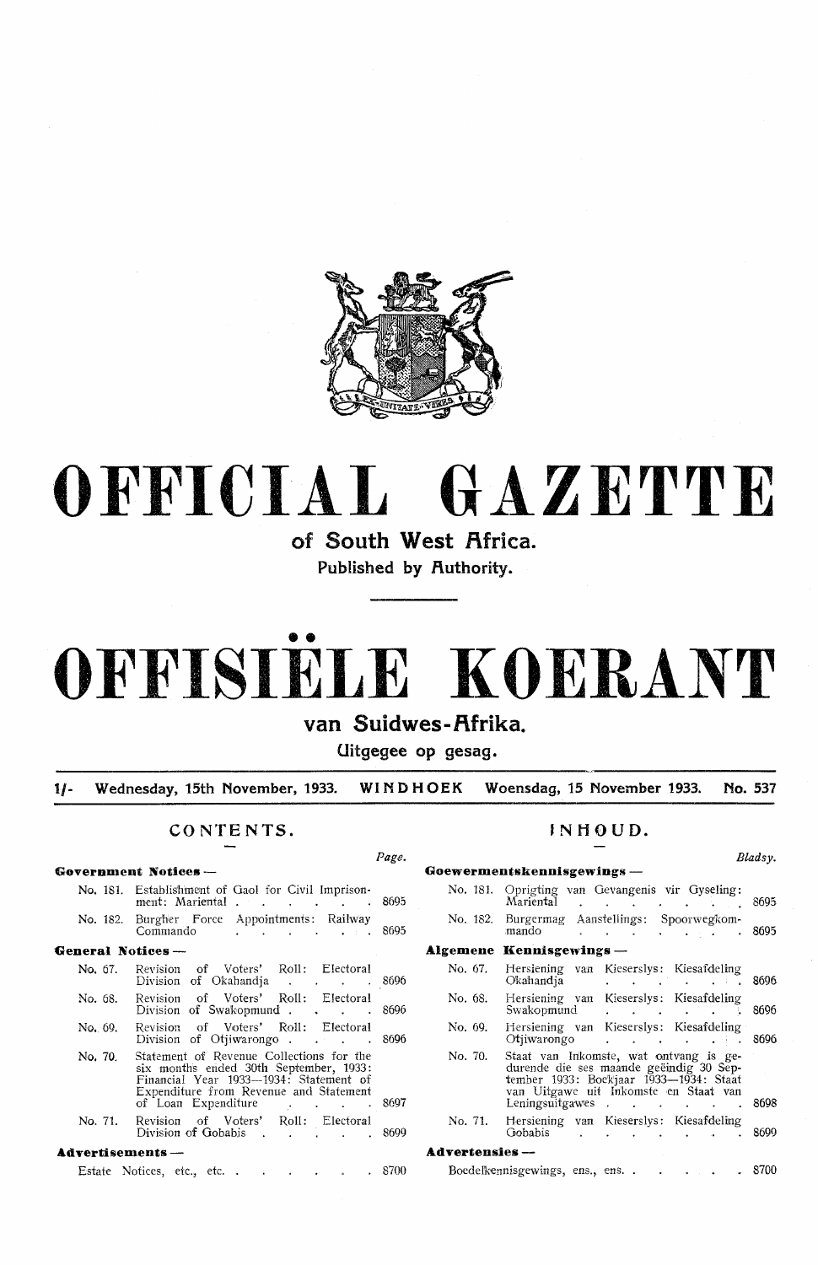

# **OFFICIAL GAZETTE**

**of South West Africa.**  Published by **Authority**.

# •• **OFFISIELE KOERANT**

# **van Suidwes-Rfrika.**

**Uitgegee op gesag.** 

**1/- Wednesday, 15th November, 1933. WINDHOEK Woensdag, 15 November 1933. No. 537** 

## **CONTENTS.**

Page.

| Government Notices — |                                                                                                                                                                                                    |  |
|----------------------|----------------------------------------------------------------------------------------------------------------------------------------------------------------------------------------------------|--|
|                      | No. 181. Establishment of Gaol for Civil Imprison-<br>ment: Mariental 8695                                                                                                                         |  |
|                      | No. 182. Burgher Force Appointments: Railway<br>Commando 8695                                                                                                                                      |  |
| General Notices —    |                                                                                                                                                                                                    |  |
| No. 67.              | Revision of Voters' Roll: Electoral<br>Division of Okahandja 8696                                                                                                                                  |  |
| No. 68.              | Revision of Voters' Roll: Electoral<br>Division of Swakopmund 8696                                                                                                                                 |  |
| No. 69.              | Revision of Voters' Roll: Electoral<br>Division of Otiiwarongo. 8696                                                                                                                               |  |
| No. 70.              | Statement of Revenue Collections for the<br>six months ended 30th September, 1933:<br>Financial Year 1933—1934: Statement of<br>Expenditure from Revenue and Statement<br>of Loan Expenditure 8697 |  |
| No. 71.              | Revision of Voters' Roll: Electoral<br>Division of Gobabis 8699                                                                                                                                    |  |
| Advertisements —     |                                                                                                                                                                                                    |  |

## Estate Notices, etc., etc. . . . . . . 8700

# **JNHOUD.**

*Bladsy.* 

|                        | Goewermentskennisgewings —                                                                                                                                                              |                                                 |                                             |        |
|------------------------|-----------------------------------------------------------------------------------------------------------------------------------------------------------------------------------------|-------------------------------------------------|---------------------------------------------|--------|
| No. 181.               | Oprigting van Gevangenis vir Gyseling:<br>Mariental                                                                                                                                     |                                                 |                                             | 8695   |
|                        | No. 182. Burgermag Aanstellings: Spoorwegkom-<br>mando                                                                                                                                  | $\mathbf{r}$ , $\mathbf{r}$ , $\mathbf{r}$      | $\mathbf{L} = \mathbf{L} \times \mathbf{L}$ | . 8695 |
|                        | Algemene Kennisgewings —                                                                                                                                                                |                                                 |                                             |        |
| No. 67.                | Hersiening van Kieserslys: Kiesafdeling<br>Okahandia                                                                                                                                    | and the state of the state of the               | <b>Carl College</b>                         | 8696   |
| No. 68.                | Hersiening van Kieserslys: Kiesafdeling<br>Swakopmund                                                                                                                                   | <b>Contract Contract Contract Contract</b>      |                                             | 8696   |
| No. 69.                | Hersiening van Kieserslys: Kiesafdeling<br>Otiiwarongo                                                                                                                                  | the contract of the contract of the contract of |                                             | 8696   |
| No. 70.                | Staat van Inkomste, wat ontvang is ge-<br>durende die ses maande geëindig 30 Sep-<br>tember 1933: Boekjaar 1933—1934: Staat<br>van Uitgawe uit Inkomste en Staat van<br>Leningsuitgawes |                                                 |                                             | 8698   |
| No. 71.                | Hersiening van Kieserslys: Kiesafdeling<br>Gobabis                                                                                                                                      |                                                 |                                             | 8699   |
| <b>Advertensies</b> -- |                                                                                                                                                                                         |                                                 |                                             |        |
|                        | Boedelkennisgewings, ens., ens                                                                                                                                                          |                                                 | $\bullet$ . $\bullet$ . $\bullet$           | 8700   |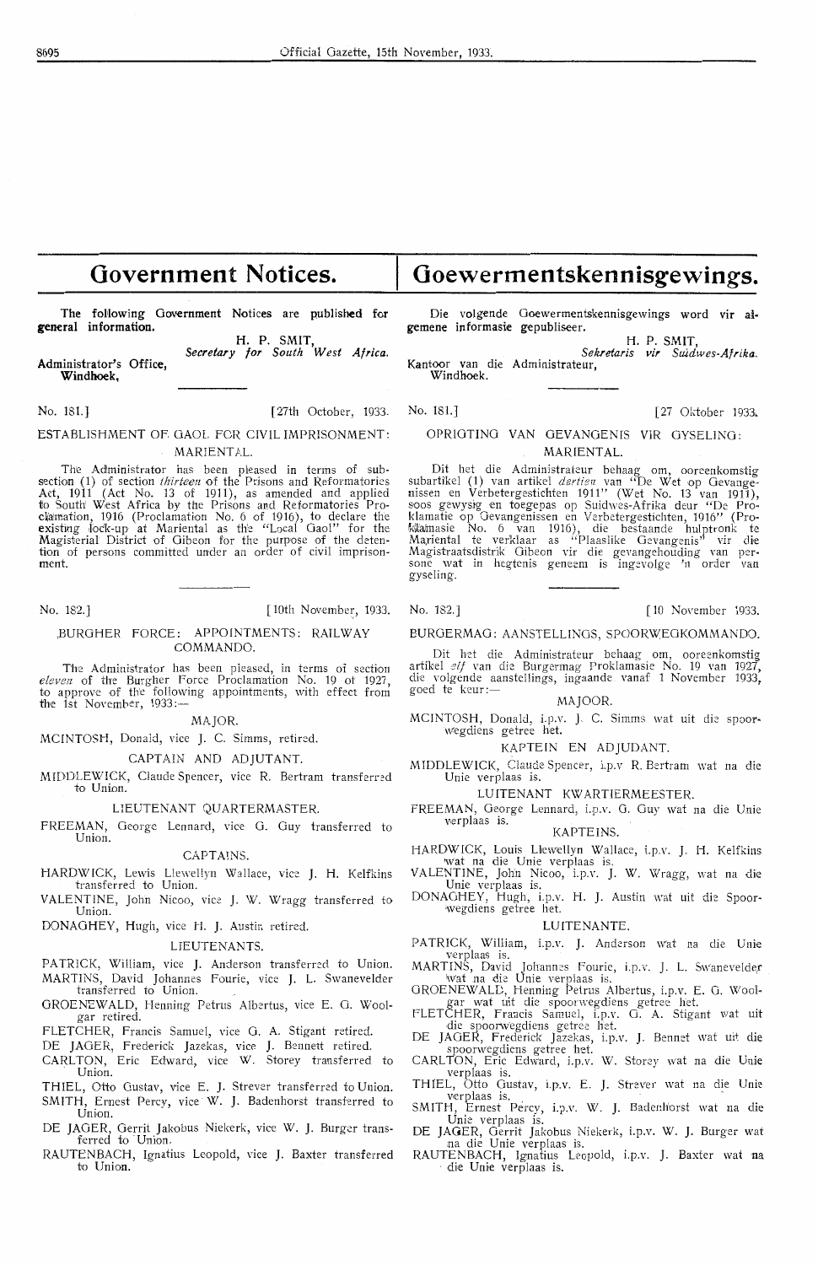# **Government Notices.**

The **following** Government Notices are published for **general information.** 

Administrator's Office, **W1ndhoek, H. P.** SMIT, *Secretary for South West Africa.* 

No. 181.] [27 Oktober 1933. No. 181.] [27 Oktober 1933.

ESTABLISHMENT OF. GAOL FOR CIVIL IMPRISONMENT: MARIENTAL.

The Administrator has been pleased in terms of subsection (1) of section *thirteen* of the Prisons and Reformatories Act, 1911 (Act No. 13 of 1911), as amended and applied to South West Africa by the Prisons and Reformatories Proclamation, 1916 (Proclamation No. 6 of 1916), to declare the<br>existing lock-up at Mariental as the "Local Gaol" for the<br>Magisterial District of Gibeon for the purpose of the detention of persons committed under an order of civil imprison- ment.

#### ,BURGHER FORCE: APPOINTMENTS: RAILWAY COMMANDO

The Administrator has been pleased, in terms of section *eleven* of the Burgher Force Proclamation No. 19 ot 1927, to approve of the following appointments, with effect from to approve of the following appointments, with effect from<br>the 1st November, 1933:-

**MAJOR** 

MCINTOSH, Donald, vice J. C. Simms, retired.

CAPTAIN AND ADJUTANT.

MIDDLEWICK, Claude Spencer, vice R. Bertram transferred to Union.

#### LIEUTENANT QUARTERMASTER.

FREEMAN, George Lennard, vice G. Guy transferred to Union.

## **CAPTAINS**

- HARDWICK, Lewis Llewellyn Wallace, vice J. H. Kelfkins transferred to Union.
- VALENTINE, John Nicoo, vice J. W. Wragg transferred to Union.

DONAGHEY, Hugh, vice H. J. Austin retired.

### **LIEUTENANTS**

PATRICK, William, vice J. Anderson transferred to Union.

MARTINS, David Johannes Fourie, vice J. L. Swanevelder transferred to Union.

- GROENEW ALD, Henning Petrus Albertus, vice E. 0. Wool- gar retired.
- FLETCHER, Francis Samuel, vice G. A. Stigant retired
- DE JAGER, Frederick Jazekas, vice J. Bennett retired
- CARLTON, Eric Edward, vice W. Storey transferred to Union.
- THIEL, Otto Gustav, vice E. J. Strever transferred to Union. SMITH, Ernest Percy, vice W. J. Badenhorst transferred to Union.
- DE JAGER, Oerrit Jakobus Niekerk, vice W. J. Burger transterred to Union.
- RAUTENBACH, Ignatius Leopold, vice J. Baxter transferred to Union.

Die volgende Goewermentskennisgewings word vir ai• **gemene** informasie gepubliseer.

**Goewermentskennisgewings.** 

1.<br>H. P. SMIT,<br>Sekretaris vir Suidwes-Afrika. *Sekretaris vir Suidwes-Afrika.* Kantoor van die Administrateur,

#### Windhoek.

## OPRJGTINO VAN GEVANGENIS VIR GYSELINO : MARIENTAL.

Dit het die Administrateur behaag om, ooreenkomstig subartikel (1) van artikel *dertien* van "De Wet op Gevange-<br>nissen en Verbetergestichten 1911" (Wet No. 13 van 1911),<br>soos gewysig en toegepas op Suidwes-Afrika deur "De Proklamatie op Gevangenissen en Verbetergestichten, 1916'' (Pro-<br>klamasie No. 6 van 1916), die bestaande hulptronk te Mariental te verklaar as "Plaaslike Gevangenis" vir die Magistraatsdistrik Oibeon vir die gevangehouding van per-<br>Magistraatsdistrik Oibeon vir die gevangehouding van per-<br>sone wat in hegtenis geneem is ingevolge 'n order van<br>gyseling.

No. 182.] [10th November, 1933. No. 182.] [10 November 1933.

BURGERMAG: AANSTELLINGS, SPOORWEGKOMMANDO.

Dit het die Administrateur behaag om, oorecnkomstig artikel *elf* van die Burgermag Proklamasie No. 19 van 1927, die volgende aanstellings, ingaande vanaf 1 November 1933, goed te keur:

#### **MA** JOOR.

MCINTOSH, Donald, i.p.v. J. C. Simms wat uit die spoorwegdiens getree het.

## KAPTEIN EN ADJUDANT.

MIDDLEWICK, Claude Spencer, i.p.y R. Bertram wat na die Unie verplaas is.

#### LUITENANT KW ARTIERMEESTER.

FREEMAN, George Lennard, i.p.v. G. Guy wat na die Unie verplaas is. **KAPTEINS** 

- HARDWICK, Louis Llewellyn Wallace, i.p.v. J. H. Kelfkins
- VALENTINE, John Nicoo, i.p.v. J. W. Wragg, wat na die Unie verplaas is.
- DONAGHEY, Hugh, i.p.v. H. J. Austin wat uit die Spoor-'W-egdiens getree het.

LUITENANTE.<br>PATRICK. William, i.p.v. J. Anderson wat na die Unie PATRICK, William, i.p.v. J. Anderson wat na die Unie verplaas is.

MARTINS, David Johannes Fourie, i.p.v. J. L. Swanevelder<br>vat na die Unie verplaas is.<br>GROENEWALD, Henning Petrus Albertus, i.p.v. E. G. Wool•

gar wat uit die spoorwegdiens getree het. FLETCHER, Francis Samuel, i.p.v. 0. A. Stigant wat uit

die spoorwegdiens getree het.

DE JAGER, Frederick Jazekas, i.p.v. J. Bennet wat uit die spoorwegdiens getree het.

- CARLTON, Eric Edward, i.p.v. W. Storey wat na die Unie verplaas is.<br>THIEL, Otto Gustav, i.p.v. E. J. Strever wat na die Unie
- THIEL, Otto Gustav, i.p.v. E. J. Strever wat na die Unie verplaas is.<br>SMITH, Ernest Percy, i.p.v. W. J. Badenhorst wat na die
- Unie verplaas is.
- DE JAGER, Gerrit Jakobus Niekerk, i.p.v. W. J. Burger wat ina die Unie verplaas is. RAUTENBACH, Ignatius Leopold, i.p.v. J. Baxter wat na · die Unie verplaas is.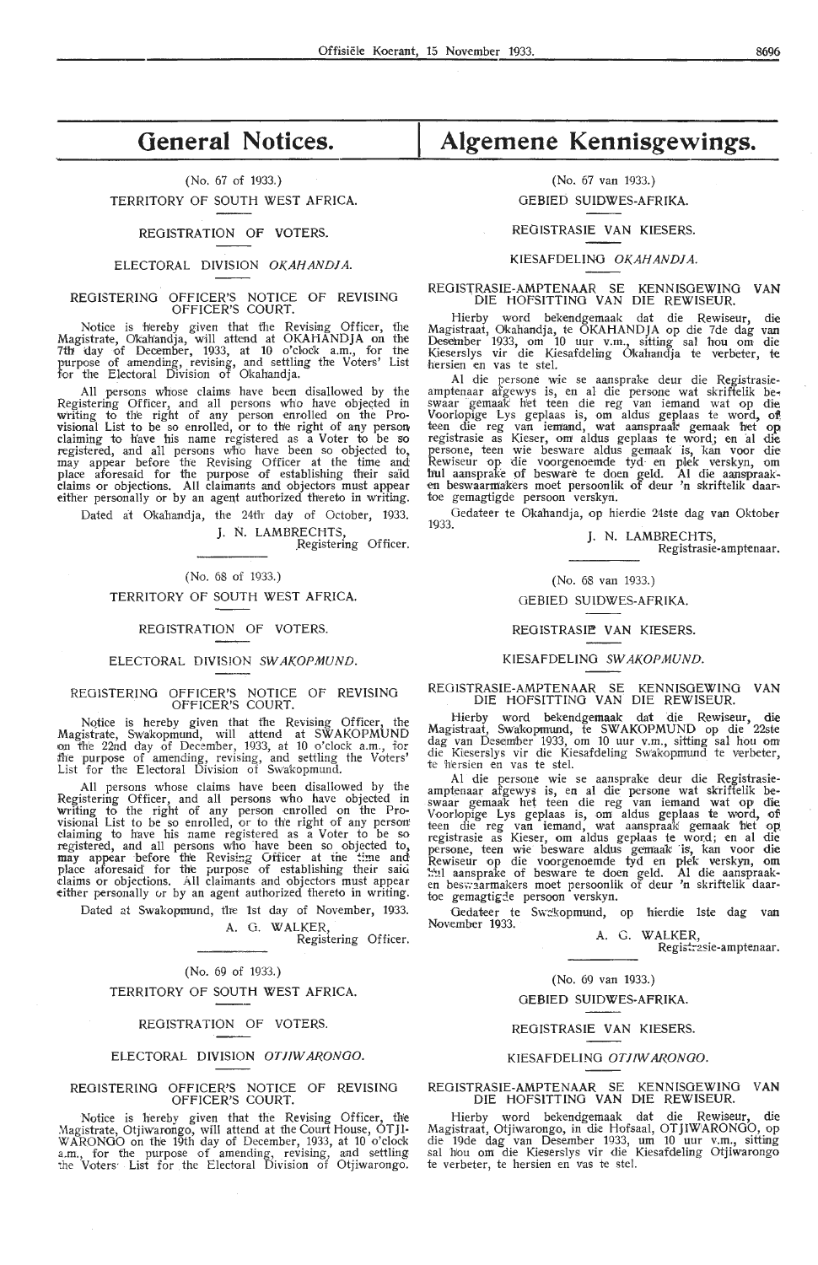# **General Notices.**

(No. 67 of 1933.) TERRITORY OF SOUTH WEST AFRICA.

REGISTRATION OF VOTERS.

#### ELECTORAL DIVISION OKAHANDJA.

#### REGISTERING OFFICER'S NOTICE OF REVISING OFFICER'S COURT.

Notice is hereby given that the Revising Officer, the Magistrate, O'kah'andja, will attend at OKAHAND JA on the 7th day of December, 1933, at 10 o'clock a.m., for the purpose of amending, revising, and settling the Voters' List<br>for the Electoral Division of Okahandja.

All persons whose claims have been disallowed by the Registering Officer, and all persons who have objected in writing to the right of any person enrolled on the Provisional List to be so enrolled, or to the right of any person claiming to have his name registered as a Voter to be so registered, and all persons who have been so objected to, may appear before the Revising Officer at the time and place aforesaid for the purpose of establishing their said claims or objections. All claimants and objectors must appear either personally or by an agent authorized thereto in writing.

Dated at Okahandja, the 24th day of October, 1933.

J. N. LAMBRECHTS, .Registering Officer.

(No. 68 of 1933.)

#### TERRITORY OF SOUTH WEST AFRICA.

#### REGISTRATION OF VOTERS.

#### ELECTORAL DIVISION SWAKOPMUND.

#### REGlSTERINO OFFICER'S NOTICE OF REVISING OFFICER'S COURT.

NQtice is hereby given that the Revising Officer, the Magistrate, Swakopmund, will attend at SWAKOPMUND on fh'e 22nd day of December, 1933, at 10 o'clock a.m., for the purpose of amending, revising, and settling the Voters' List for the Electoral Division of Swa'kopmund.

All persons whose claims have been disallowed by the Registering Officer, and all persons who have objected in writing to the right of any person enrolled on the Provisional List to be so enrolled, or to the right of any person! claiming *to* have his name registered as a Voter to be so registered, and all persons who have been so objected to, may appear before the Revising Officer at the time and place aforesaid for the purpose of establishing their said claims or objections. All claimants and objectors must appear either personally or by an agent authorized thereto in writing.

Dated at Swakopmund, the 1st day of November, 1933.

A. G. WALKER, Registering Officer.

#### (No. 69 of 1933.)

#### TERRITORY OF SOUTH WEST AFRICA.

#### REGISTRATION OF VOTERS.

#### ELECTORAL DIVISION OT JIW ARONGO.

#### REGISTERING OFFICER'S NOTICE OF REVISING OFFICER'S COURT.

Notice is hereby given that the Revising Officer, the Magistrate, Otjiwarongo, will attend at the Court House, OTJl-WARONGO on the 19th day of December, 1933, at 10 o'clock a.m., for the purpose of amending, revising, and settling the Voters· List for the Electoral Division of Otjiwarongo.

# **Algemene Kennisgewings.**

## (No. 67 van 1933.) GEBIED SUIDWES-AFRIKA.

#### REOISTRASIE VAN KIESERS.

#### KIESAFDELING OKAHAND/A.

# REGISTRASIE-AMPTENAAR SE KENNISGEWING VAN DIE HOFSITTING VAN DIE REWISEUR.

Hierby word bekendgemaak dat die Rewiseur, die Magistraat, Okahandja, te OKAHANDJA op die 7de dag van Desenber 1933, om 10 uur v.m., sitting sal h'ou om die Kieserslys vir die Kiesafdeling Okahandja te verbeter, te hersien en vas te stel.

Al die persone wie se aansprake deur die Registrasieamptenaar afgewys is, en al die persone wat skriftelik be~ swaar · gemaak h'et teen die reg van iemmd wat op die Voorlopige Lys geplaas is, om aldus geplaas te word, **of**  teen die reg van iemand, wat aanspraak gemaak het op registrasie as Kieser, orn aldus geplaas te word\_; en ·al die persone, teen wie besware aldus gemaak is, kan voor die Rewiseur op die voorgenoemde tyd en plek verskyn, om hul aansprake of besware te doen geld. Al die aanspraak-<br>en beswaarmakers moet persoonlik of deur 'n skriftelik daartoe gemagtigde persoon verskyn.

Gedateer te Oka'handja, op hierdie 24ste dag van Oktober<br>1933

#### J. N. LAMBRECHTS,

Registrasie-amptenaar.

#### (No. 68 van 1933.)

#### GEBIED SUIDWES-AFRIKA.

#### REGISTRASIE VAN KIESERS.

#### KIESAFDELING SWAKOPMUND.

#### REOISTRASIE-AMPTENAAR SE KENNISGEWING VAN DIE HOFSITTING VAN DIE REWISEUR.

Hierby word bekendgemaak dat die Rewiseur, die Magistraat, Swakopmund, te SWAKOPMUND op die 22ste dag van Deseimber 1933, om 10 uur v.m., sitting sal hou om die Kieserslys vir die Kiesafdeling Swakopmund te verbeter, te hiersien en vas te stel.

Al die persone wie se aansprake deur die Registrasieamptenaar afgewys is, en al die persone wat skriftelik be-<br>swaar gemaak het teen die reg van iemand wat op die Voorlopige Lys geplaas is, om aldus geplaas te word, of teen die reg van iemand, wat aanspraak gemaak het op registrasie as Kieser, om aldus geplaas te word; en al die persone, teen wie besware aldus gem'aak ·is, kan voor die Rewiseur op die voorgenoemde tyd en plek verskyn, om \*\*:1 aansprake of besware te doen geld. Al die aanspraak-<br>en beswaarmakers moet persoonlik of deur 'n skriftelik daartoe gemagtigde persoon verskyn.

Oedateer te Sw·::<sup>1</sup> !<:0pmund, op hierdie lsk dag van November 1933. A. G. WALKER,

Registrasie-amptenaar.

#### (No. 69 van 1933.)

#### GEBIED SUIDWES-AFRIKA.

#### REOISTRASIE VAN KIESERS.

#### KIESAFDELING OTJIW ARONGO.

#### REGISTRASIE-AMPTENAAR SE KENNISGEWING **VAN**  DIE HOFSlTTINO VAN DIE REWISEUR.

Hierby word bekendgemaak dat die Rewiseur, die Magistraat, Otjiwarongo, in di,e Hofsaal, OTJIWARONGO, op die 19de dag van Desember 1933, um 10 uur v.m., sitting sal hou om die Kieserslys vir die Kiesafdeling Otjiwarongo te verbeter, te hersien en vas te stel.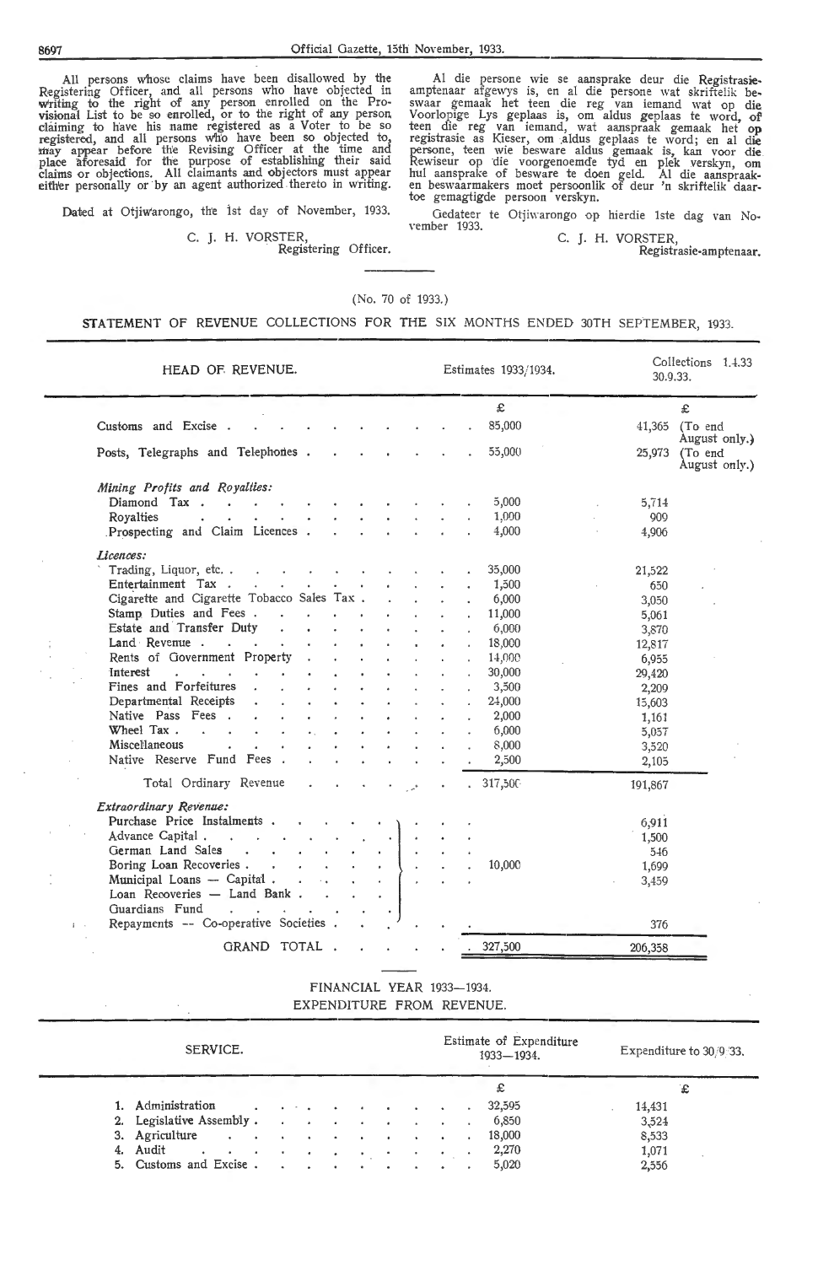All persons whose claims have been disallowed by the Registering Officer, and all persons who have objected in<br>writing to the right of any person enrolled on the Pro• visional List *to* be so enrolled, or to the right of any person claiming to have his name registered as a Voter \_to be so registered and all persons w'h'o have been so obJected to, may appear before the Revising Officer at the time and place aforesaid for the purpose of establishing their said claims or objections. All claimants and objectors must appear either personally or by an agent authorized thereto in writing.

Dated at Otiiwarongo, the 1st day of November, 1933.

C. J. H. VORSTER,<br>Registering Officer.

Al die persone wie se aansprake deur die Registrasieamptenaar afgewys is, en al die persone wat skriftelik be, swaar gemaak het teen die reg van iemand wat op die Voorlopige Lys geplaas is, om aldus geplaas te word, of' teen die reg van iemand, wat aanspraak gemaak het op registrasie as Kieser, om aldus geplaas te word; en al die persone, teen wie besware aldus gemaak is, kan voor die Rewiseur op die voorgenoemde tyd en plek verskyn, om hul aansprake of besware te doen geld. Al die aanspraaken beswaarmakers moet persoonlik of deur 'n skriftelik daa

Gedateer te Otjiwarongo op hierdie 1ste dag van November 1933. C. J. H. VORSTER,

Registrasie-amptenaar.

## (No. 70 of 1933.)

## STATEMENT OF REVENUE COLLECTIONS FOR THE SIX MONTHS ENDED 30TH SEPTEMBER, 1933.

| HEAD OF REVENUE.                                                                                                              | Estimates 1933/1934. | Collections 1.4.33<br>30.9.33.                      |
|-------------------------------------------------------------------------------------------------------------------------------|----------------------|-----------------------------------------------------|
|                                                                                                                               | £                    | £                                                   |
| Customs and Excise.                                                                                                           | 85,000               | (To end<br>41.365                                   |
| Posts, Telegraphs and Telephones.                                                                                             | 55,000               | August only.)<br>(To end<br>25,973<br>August only.) |
| Mining Profits and Royalties:                                                                                                 |                      |                                                     |
| Diamond Tax.<br><b>Contract Contract</b><br>and the con-<br>and the control of the con-                                       | 5,000                | 5,714                                               |
| Royalties<br><b>Contract Contract Contract Contract Contract</b><br>$\mathbf{A}^{(1)}$ and<br>$\mathbf{a}$ , and $\mathbf{a}$ | 1,000                | 909                                                 |
| Prospecting and Claim Licences.<br>and the state of the state of<br>$\mathbf{r}$<br>$\mathbf{A}$                              | 4,000                | 4,906                                               |
| Licences:                                                                                                                     |                      |                                                     |
| Trading, Liquor, etc.<br>$\sim$                                                                                               | 35,000               | 21,522                                              |
| Entertainment Tax                                                                                                             | 1,500                | 650                                                 |
| Cigarette and Cigarette Tobacco Sales Tax.                                                                                    | 6,000                | 3,050                                               |
| Stamp Duties and Fees<br>$\mathbf{r}$ and $\mathbf{r}$                                                                        | 11,000               | 5,061                                               |
| Estate and Transfer Duty .<br>$\bullet$ .<br>$\mathbf{z}$ . $\mathbf{z}$                                                      | 6,000                | 3,870                                               |
| Land Revenue<br>$\bullet$                                                                                                     | 18,000               | 12,817                                              |
| Rents of Government Property.                                                                                                 | 14,000               | 6,955                                               |
| Interest<br>and the state of the state of<br>$\sim$                                                                           | 30,000               | 29,420                                              |
| Fines and Forfeitures<br>$\mathbf{z}$ . The $\mathbf{z}$                                                                      | 3,500                | 2,209                                               |
| Departmental Receipts                                                                                                         | 24,000               | 15,603                                              |
| Native Pass Fees.<br>$\bullet$                                                                                                | 2,000                |                                                     |
| Wheel Tax.<br>$\bullet$ .                                                                                                     | 6,000                | 1,161                                               |
| Miscellaneous                                                                                                                 | 8,000                | 5,057                                               |
| Native Reserve Fund Fees.                                                                                                     |                      | 3,520                                               |
|                                                                                                                               | 2,500                | 2,105                                               |
| Total Ordinary Revenue                                                                                                        | .317,500             | 191,867                                             |
| Extraordinary Revenue:                                                                                                        |                      |                                                     |
| Purchase Price Instalments                                                                                                    |                      | 6,911                                               |
| Advance Capital.<br>$\sim$ 1                                                                                                  |                      | 1,500                                               |
| German Land Sales<br>$\mathbf{r} = \mathbf{r}$                                                                                |                      | 546                                                 |
| Boring Loan Recoveries                                                                                                        | 10,000               | 1,699                                               |
| Municipal Loans — Capital<br>$\sim$                                                                                           |                      | 3,459                                               |
| Loan Recoveries - Land Bank                                                                                                   |                      |                                                     |
| Guardians Fund<br>and the contract of the contract of the                                                                     |                      |                                                     |
| Repayments -- Co-operative Societies.                                                                                         |                      | 376                                                 |
| GRAND TOTAL.                                                                                                                  | . 327,500            | 206,358                                             |

FINANCIAL YEAR 1933-1934. EXPENDITURE FROM REVENUE.

| SERVICE.                                                                                                                                                                                                                                         |  |                                                                                                                 |  |  |  | Estimate of Expenditure<br>1933-1934. | Expenditure to 30/9/33. |
|--------------------------------------------------------------------------------------------------------------------------------------------------------------------------------------------------------------------------------------------------|--|-----------------------------------------------------------------------------------------------------------------|--|--|--|---------------------------------------|-------------------------|
|                                                                                                                                                                                                                                                  |  |                                                                                                                 |  |  |  | £                                     | £                       |
| 1. Administration                                                                                                                                                                                                                                |  | and the state of the state of the state of the state of the state of the state of the state of the state of the |  |  |  | 32,595                                | 14,431                  |
| 2. Legislative Assembly                                                                                                                                                                                                                          |  |                                                                                                                 |  |  |  | 6,850                                 | 3,524                   |
| 3. Agriculture<br>and the contract of the contract of the contract of the contract of the contract of the contract of the contract of the contract of the contract of the contract of the contract of the contract of the contract of the contra |  |                                                                                                                 |  |  |  | 18,000                                | 8,533                   |
| 4. Audit<br>and the contract of the contract of                                                                                                                                                                                                  |  |                                                                                                                 |  |  |  | 2,270                                 | 1,071                   |
| 5. Customs and Excise                                                                                                                                                                                                                            |  |                                                                                                                 |  |  |  | 5,020                                 | 2,556                   |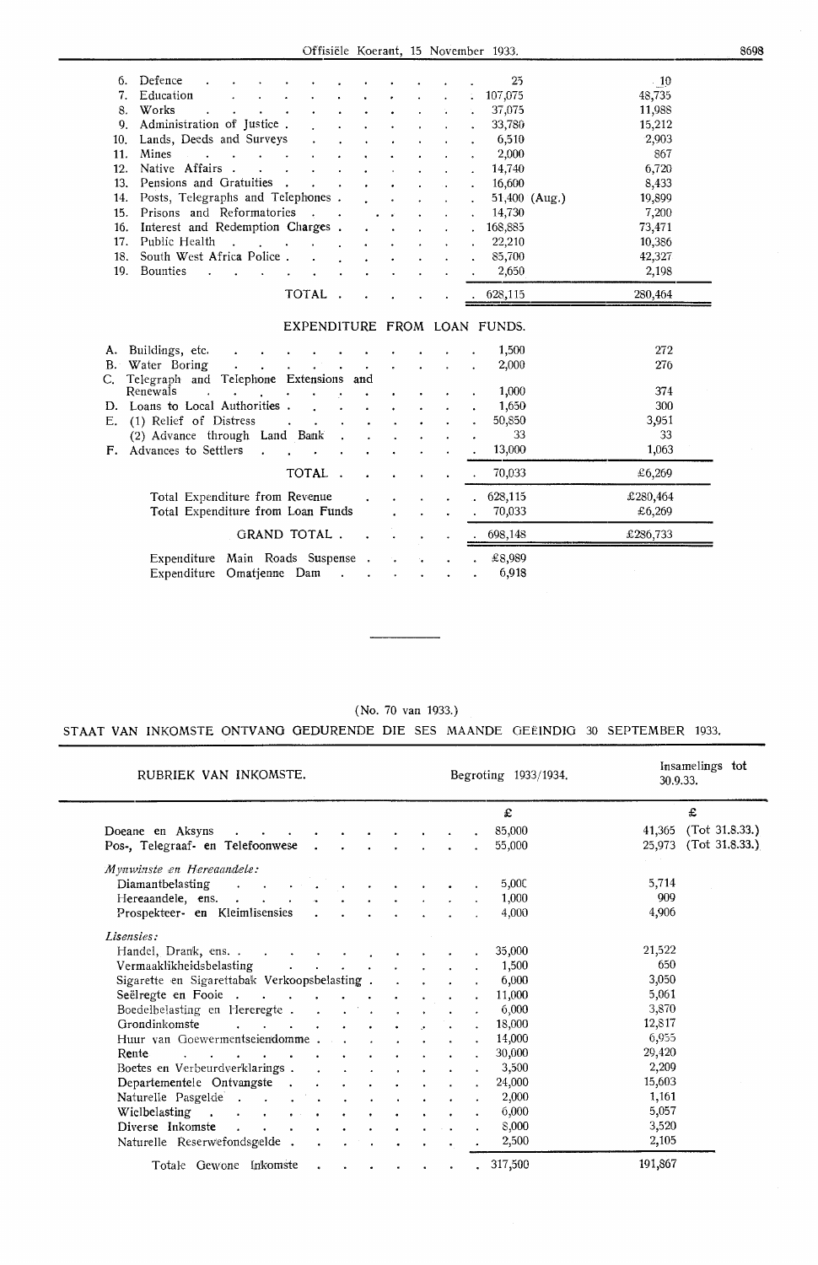Offisiele Koerant, 15 November 1933.

| 6.  | Defence                                   |                                                         |                                                                                                                 |        |              |  | 25                           | $\cdot$ 10 |  |
|-----|-------------------------------------------|---------------------------------------------------------|-----------------------------------------------------------------------------------------------------------------|--------|--------------|--|------------------------------|------------|--|
| 7.  | Education                                 |                                                         |                                                                                                                 |        |              |  | 107,075                      | 48,735     |  |
| 8.  | Works                                     |                                                         |                                                                                                                 |        |              |  | 37,075                       | 11,988     |  |
| 9.  | Administration of Justice.                |                                                         |                                                                                                                 |        |              |  | 33,780                       | 15,212     |  |
| 10. | Lands, Deeds and Surveys                  |                                                         |                                                                                                                 |        |              |  | 6,510                        | 2,903      |  |
| 11. | Mines                                     |                                                         |                                                                                                                 |        |              |  | 2,000                        | 867        |  |
| 12. | Native Affairs.                           |                                                         |                                                                                                                 |        |              |  | 14,740                       | 6,720      |  |
| 13. | Pensions and Gratuities.                  |                                                         |                                                                                                                 |        |              |  | 16,600                       | 8,433      |  |
| 14. | Posts, Telegraphs and Telephones.         |                                                         |                                                                                                                 |        |              |  | 51,400 $(Aug.)$              | 19,899     |  |
| 15. | Prisons and Reformatories                 |                                                         |                                                                                                                 |        |              |  | 14,730                       | 7,200      |  |
| 16. | Interest and Redemption Charges.          |                                                         |                                                                                                                 |        |              |  | 168,885                      | 73,471     |  |
| 17. | Public Health                             | $\mathcal{L} = \mathcal{L} = \mathcal{L} = \mathcal{L}$ |                                                                                                                 |        |              |  | 22,210                       | 10,386     |  |
| 18. | South West Africa Police.                 |                                                         |                                                                                                                 |        |              |  | 85,700                       | 42,327     |  |
| 19. | Bounties                                  | and a strategic control of                              |                                                                                                                 |        |              |  | 2,650                        | 2,198      |  |
|     |                                           |                                                         |                                                                                                                 |        |              |  |                              |            |  |
|     |                                           |                                                         |                                                                                                                 | TOTAL. |              |  | 628,115                      | 280,464    |  |
|     |                                           |                                                         |                                                                                                                 |        |              |  |                              |            |  |
|     |                                           |                                                         |                                                                                                                 |        |              |  | EXPENDITURE FROM LOAN FUNDS. |            |  |
|     | A. Buildings, etc.                        |                                                         |                                                                                                                 |        |              |  | 1,500                        | 272        |  |
|     | B. Water Boring                           |                                                         |                                                                                                                 |        |              |  | 2,000                        | 276        |  |
|     | C. Telegraph and Telephone Extensions and |                                                         |                                                                                                                 |        | $\mathbf{r}$ |  |                              |            |  |
|     | Renewals                                  |                                                         |                                                                                                                 |        |              |  | 1,000                        | 374        |  |
|     | D. Loans to Local Authorities.            |                                                         |                                                                                                                 |        |              |  | 1,650                        | 300        |  |
| Е.  | (1) Relief of Distress                    |                                                         | the contract of the contract of the contract of the contract of the contract of the contract of the contract of |        |              |  | 50,850                       | 3,951      |  |
|     |                                           |                                                         |                                                                                                                 |        |              |  |                              |            |  |

| $\mu$ is the compact of $\mu$ and $\mu$ and $\mu$ and $\mu$ and $\mu$<br>F. Advances to Settlers |  |                                                     |        | 13,000                     | 1,063              |
|--------------------------------------------------------------------------------------------------|--|-----------------------------------------------------|--------|----------------------------|--------------------|
| TOTAL 70,033                                                                                     |  |                                                     |        |                            | £6,269             |
| Total Expenditure from Revenue<br>Total Expenditure from Loan Funds                              |  | and the contract of the contract of the contract of | $\sim$ | 628.115<br>1. 1. 1. 70,033 | £280,464<br>£6,269 |
| GRAND TOTAL 698,148                                                                              |  |                                                     |        |                            | £286,733           |
| Expenditure Main Roads Suspense<br>Expenditure Omatienne Dam                                     |  |                                                     |        | £8,989<br>6.918            |                    |

 $\mathcal{L}^{\pm}$  $\frac{1}{2}$   $\frac{1}{2}$ 

 $\begin{array}{ccccc} \bullet & \bullet & \bullet & \bullet \\ \bullet & \bullet & \bullet & \bullet \end{array}$ 

 $\ddot{\phantom{a}}$  $\ddot{\phantom{a}}$ 

 $\mathcal{L}$ 

1,650 50,850  $\frac{1}{33}$ 

300 3,951 33

E. (1) Relief of Distress

(2) Advance through Land Bank

## (No. 70 van 1933.) STAAT VAN INKOMSTE **ONTVANG** GEDURENDE DIE SES MAANDE GEEINDIG 30 SEPTEMBER 1933.

| RUBRIEK VAN INKOMSTE.                                                                                                     |  |  | Begroting 1933/1934. | 30.9.33. | Insamelings tot |
|---------------------------------------------------------------------------------------------------------------------------|--|--|----------------------|----------|-----------------|
|                                                                                                                           |  |  | £                    |          | £               |
| Doeane en Aksyns<br>$\sim$                                                                                                |  |  | 85,000               | 41,365   | (Tot 31.8.33.)  |
| Pos-, Telegraaf- en Telefoonwese                                                                                          |  |  | 55,000               | 25,973   | (Tot 31.8.33.)  |
| Mynwinste en Hereaandele:                                                                                                 |  |  |                      |          |                 |
| Diamantbelasting<br>$\overline{\phantom{a}}$<br>$\sim 10$<br><b>Contractor</b>                                            |  |  | 5,00C                | 5,714    |                 |
| Hereaandele, ens.                                                                                                         |  |  | 1,000                | 909      |                 |
| Prospekteer- en Kleimlisensies                                                                                            |  |  | 4,000                | 4,906    |                 |
| Lisensies:                                                                                                                |  |  |                      |          |                 |
|                                                                                                                           |  |  | 35,000               | 21,522   |                 |
| Vermaaklikheidsbelasting<br>$\mathbf{r} = \mathbf{r} \cdot \mathbf{r}$ , where $\mathbf{r} = \mathbf{r} \cdot \mathbf{r}$ |  |  | 1,500                | 650      |                 |
| Sigarette en Sigarettabak Verkoopsbelasting.                                                                              |  |  | 6,000                | 3,050    |                 |
| Seëlregte en Fooie                                                                                                        |  |  | 11,000               | 5,061    |                 |
| Boedelbelasting en Hereregte.<br>$\mathbf{A}$<br>$\mathbf{r}$                                                             |  |  | 6,000                | 3,870    |                 |
| Grondinkomste<br>$\mathbf{r}$<br>$\sim$ $\sim$ $\sim$                                                                     |  |  | 18,000               | 12,817   |                 |
| Huur van Goewermentseiendomme                                                                                             |  |  | 14,000               | 6,955    |                 |
| Rente<br>$\cdot$                                                                                                          |  |  | 30,000               | 29,420   |                 |
| Boetes en Verbeurdverklarings.                                                                                            |  |  | 3,500                | 2,209    |                 |
| Departementele Ontvangste.                                                                                                |  |  | 24,000               | 15,603   |                 |
| Naturelle Pasgelde<br>$\mathbf{r} = \mathbf{r} + \mathbf{r}$ .                                                            |  |  | 2,000                | 1,161    |                 |
| Wielbelasting<br><b>Contract Contract Street</b><br><b>Contract Contract Contract</b><br>$\bullet$ . The set of $\bullet$ |  |  | 6,000                | 5,057    |                 |
| Diverse Inkomste<br>$\mathbf{r}$                                                                                          |  |  | 8,000                | 3,520    |                 |
| Naturelle Reserwefondsgelde.                                                                                              |  |  | 2,500                | 2,105    |                 |
| Totale Gewone Inkomste                                                                                                    |  |  | 317,500              | 191,867  |                 |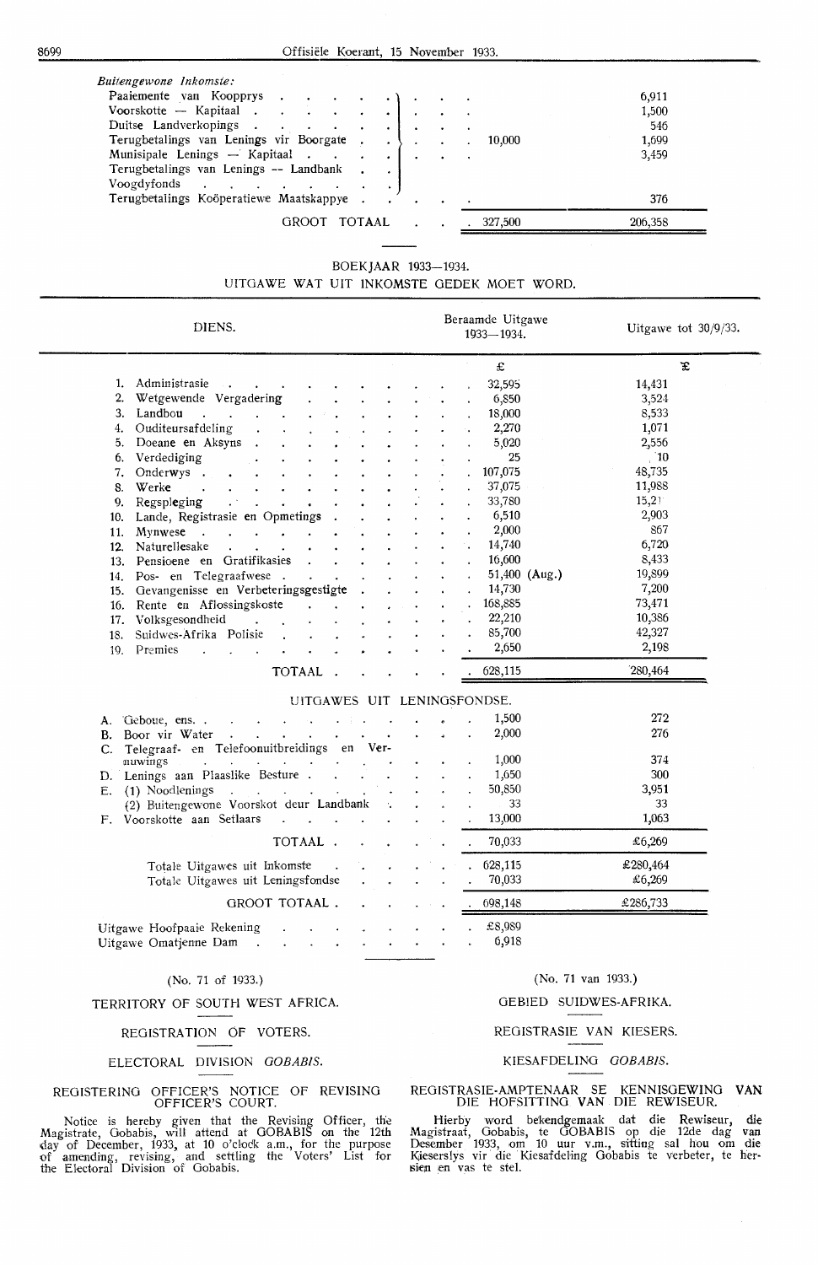| Paaiemente van Koopprys                 |  |  |         | 6,911   |
|-----------------------------------------|--|--|---------|---------|
| Voorskotte – Kapitaal                   |  |  |         | 1,500   |
| Duitse Landverkopings.                  |  |  |         | 546     |
| Terugbetalings van Lenings vir Boorgate |  |  | 10.000  | 1,699   |
| Munisipale Lenings - Kapitaal           |  |  |         | 3,459   |
| Terugbetalings van Lenings -- Landbank  |  |  |         |         |
| Voogdyfonds                             |  |  |         |         |
| Terugbetalings Koöperatiewe Maatskappye |  |  |         | 376     |
| GROOT TOTAAL                            |  |  | 327,500 | 206,358 |

## BOEKJAAR 1933-1934.

## UITGAWE WAT UIT INKOMSTE GEDEK MOET WORD.

| DIENS.                                                                                                          | Beraamde Uitgawe<br>1933-1934. |                         | Uitgawe tot $30/9/33$ . |
|-----------------------------------------------------------------------------------------------------------------|--------------------------------|-------------------------|-------------------------|
|                                                                                                                 | $\pounds$                      |                         | £                       |
| 1. Administrasie<br>$\mathcal{A}(\mathbf{x})$ and $\mathcal{A}(\mathbf{x})$ . Then                              | 32,595                         | 14,431                  |                         |
| 2. Wetgewende Vergadering                                                                                       | 6,850                          | 3,524                   |                         |
| 3. Landbou<br><b>Contract Contract</b>                                                                          | 18,000                         | 8,533                   |                         |
| 4. Ouditeursafdeling                                                                                            | 2,270                          | 1,071                   |                         |
| Doeane en Aksyns<br>5.                                                                                          | 5,020                          | 2,556                   |                         |
| 6. Verdediging                                                                                                  | 25                             | $\frac{10}{2}$          |                         |
| Onderwys .<br>7.                                                                                                | 107,075                        | 48,735                  |                         |
| Werke<br>8.<br>$\sim$                                                                                           | 37,075                         | 11,988                  |                         |
| Regspleging<br>$\mathcal{L}^{(2)}$<br>9.<br>$\sim$<br>$\bullet$<br>$\bullet$                                    | 33,780                         | 15,21                   |                         |
| 10. Lande, Registrasie en Opmetings                                                                             | 6,510                          | 2,903                   |                         |
| Mynwese<br>11.<br>$\mathbf{r}$                                                                                  | 2,000                          | 867                     |                         |
| Naturellesake<br>$\mathbf{A}$ and $\mathbf{A}$ and $\mathbf{A}$ and $\mathbf{A}$<br>12.<br>$\ddot{\phantom{a}}$ | 14,740                         | 6,720                   |                         |
| 13. Pensioene en Gratifikasies<br>$\sim 10^{-10}$                                                               | 16,600                         | 8,433                   |                         |
| 14. Pos- en Telegraafwese.<br>$\mathbf{L}^{\text{max}}$                                                         |                                | 19,899<br>51,400 (Aug.) |                         |
| 15. Gevangenisse en Verbeteringsgestigte                                                                        | 14,730                         | 7,200                   |                         |
| 16. Rente en Aflossingskoste<br>$\sim$ 100 $\sim$                                                               | 168,885                        | 73,471                  |                         |
| 17. Volksgesondheid<br>$\mathcal{L}^{\text{max}}$<br>$\mathbf{r}$                                               | 22,210                         | 10,386                  |                         |
| 18. Suidwes-Afrika Polisie<br>$\sim$                                                                            | 85,700                         | 42,327                  |                         |
| 19. Premies<br>$\mathbf{r}$                                                                                     | 2,650                          | 2,198                   |                         |
| TOTAAL.                                                                                                         | 628,115                        | 280,464                 |                         |
| UITGAWES UIT LENINGSFONDSE.                                                                                     |                                |                         |                         |
| and a series of the series of the series of the<br>A. Geboue, ens                                               | 1,500                          | 272                     |                         |
| B. Boor vir Water                                                                                               | 2,000                          | 276                     |                         |
| C. Telegraaf- en Telefoonuitbreidings en Ver-                                                                   |                                |                         |                         |
| nuwings<br>the contract of the contract of the                                                                  | 1,000                          | 374                     |                         |
| D. Lenings aan Plaaslike Besture.                                                                               | 1,650                          | 300                     |                         |
| E. (1) Noodlenings<br>the contract of the contract of the                                                       | 50,850                         | 3,951                   |                         |
| (2) Buitengewone Voorskot deur Landbank                                                                         | 33                             | 33                      |                         |
| F. Voorskotte aan Setlaars                                                                                      | 13,000                         | 1,063                   |                         |
| TOTAAL.                                                                                                         | 70,033                         | €6,269                  |                         |
| Totale Uitgawes uit Inkomste                                                                                    | 628,115                        | £280,464                |                         |
| Totale Uitgawes uit Leningsfondse                                                                               | 70,033                         | £6,269                  |                         |
| GROOT TOTAAL.                                                                                                   | 698,148                        | £286,733                |                         |
| Uitgawe Hoofpaaie Rekening<br>Uitgawe Omatjenne Dam<br>$\sim$<br>$\Delta \sim 100$<br>$\bullet$<br>$\bullet$    | £8,989<br>6,918                |                         |                         |

## (No. 71 of 1933.)

## TERRITORY OF SOUTH WEST AFRICA.

#### REGISTRATION OF VOTERS.

#### ELECTORAL DIVISION *OOBABIS.*

#### REGISTERING OFFICER'S NOTICE OF REVISING OFFICER'S COURT.

Notice is hereby given that the Revising Officer, the Magistrate, Oobabis, will attend at GOBABIS on the 12th day of December, 1933, at 10 o'dodk a.m., for the purpose of amending, revising, and settling the Voters' List for the Electoral Division of Gobabis.

## (No. 71 van 1933.)

## GEBIED SUIDWES-AFRIKA.

#### REOISTRASIE VAN KIESERS.

## KIESAFDELING *OOBAB!S.*

#### REOISTRASIE-AMPTENAAR SE KENNISOEWINO **VAN**  DIE HOFSITTING VAN DIE REWISEUR.

Hierby word bekendgemaak dat die Rewiseur, die Magistraat, Gobabis, te GOBABIS op die 12de dag van Desember 1933, om 10 uur v.m., sitting sal hou om die K;ieserslys vir die Kiesafdeling Oobabis te verbeter, te hersien en vas te stel.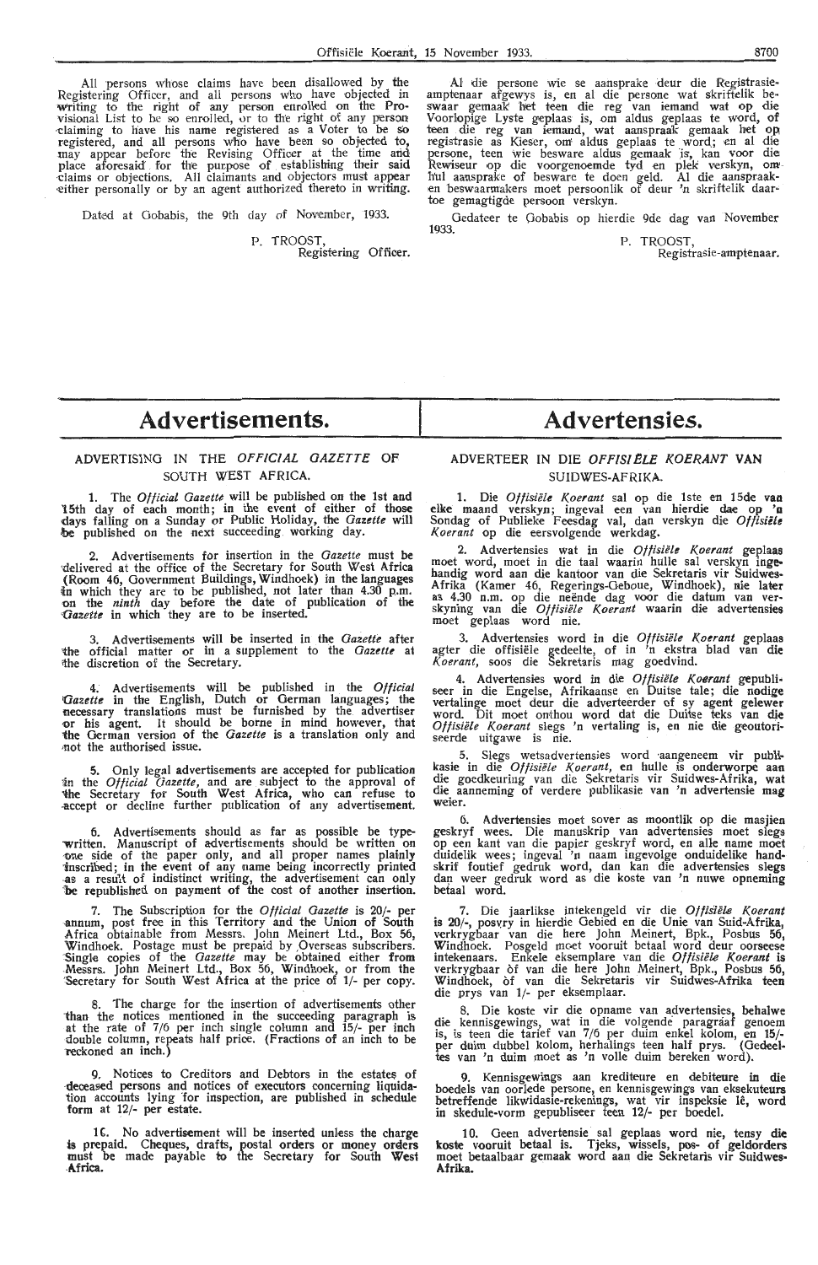All persons whose claims have been disallowed by the Registering Officer, and all persons who have objected **in**  Writing to fhe right of any person enrolled on the **Pro**visional List to be so enrolled, or to the right of any person claiming to have his name registered as a Voter to be so registered, and all persons who have been so objected to, may appear before the Revising Officer at th place aforesaid for the purpose of establishing their said claims or objections. All claimants and objectors must appear either personally or by an agent authorized thereto in writing. either personally or by an agent authorized thereto in writing.

Dated at Gobabis, the 9th day of November, 1933.

P. TROOST,

Registering Officer.

Al die persone wie se aansprake deur die Registrasieamptenaar afgewys is, en al die persone wat skriftelik be-<br>swaar gemaak het teen die reg van iemand wat op die<br>Voorlopige Lyste geplaas is, om aldus geplaas te word, of teen die reg van iemand, wat aanspraak gemaak het op<br>registrasie as Kieser, om aldus geplaas te word; en al die persone, teen wie besware aldus gemaak is, kan voor die<br>Rewiseur op die voorgenoemde tyd en plek verskyn, om hul aansprake of besware te doen geld. Al die aanspraak-<br>en beswaarmakers moet persoonlik of deur 'n skriftelik d

Gedateer te Gobabis op hierdie 9de dag van November<br>1933. P. TROOST, Registrasie-amptenaar.

## **Advertisements.**

## **ADVERTISING IN** THE **OFFICIAL GAZETTE OF**  SOUTH WEST AFRICA.

1. The *Official Gazette* will be published on the 1st and 15th day of each month; in the event of either of those days falling on a Sunday or Public Holiday, the *Gazette* **will be** published on the next succeeding working day.

2. Advertisements for insertion in the *Gazette* must **be** ·delivered at the office of the Secretary for South West **Africa**  (Room 46, Government Buildings, Windhoek) in the languages in which they are to be published, not later than 4.30 p.m. on the *ninth* day before the date of publication of the *<Jazette* in which they are to be inserted.

3. Advertisements will be inserted in the *Gazette* after the official matter or in a supplement to the *Gazette* at ithe discretion of the Secretary.

4. Advertisements will be published in the *Official Qazette* in the English, Dutch or German languages; the **necessary** translations must be furnished by the advertiser **or** his agent. It should be borne in mind however, that the German version of the *Gazette* is a translation only and not the authorised issue.

5. Only legal advertisements are accepted for publication 'in the *Official Gazette,* and are subject to the approval of 'the Secretary for South West Africa, who can refuse to -accept or decline further publication of any advertis•ement.

6. Advertisements should as far as possible be type written. Manuscript of advertisements should be written on one side of the paper only, and all proper names plainly '.inscribed; in the event of any name being incorrectly printed -as a result of indistinct writing, the advertisement can only 'be republished on payment of the cost of another insertion.

7. The Subscription for the *Official Gazette* is 20 .annum, post free in this Territory and the Union of South Africa obtainable from Messrs. John Meinert Ltd., Box 56, Africa obtainable from Messrs. John Meinert Ltd., DUX 50<br>Windhoek. Postage must be prepaid by Overseas subscribers<br>Single copies of the *Gazette* may be obtained either from<br>Messrs. John Meinert Ltd., Box 56, Windhoek, or

8. The charge for the insertion of advertisements other than the notices mentioned in the succeeding paragraph is at the rate of 7/6 per inch single column and 15/- per inch double column, repeats half price. (Fractions of an inch to be reckoned an inch.

9. Notices to Creditors and Debtors in the estates of deceased persons and notices of executors concerning liquidation accounts lying for inspection, are published in schedule form at 12/- per estate.

16. No advertisement will be inserted unless the charge is prepaid. Cheques, drafts, postal orders or money oraers must be made payable to the Secretary for South **West Mrica.** 

## **Advertensies.**

## ADVERTEER IN DIE OFFIS/ELE KOERANT VAN SUIDWES-AFRIKA.

1. Die *Offisiele Koerant* sal op die lste en 15de vaa · elke maand verskyn; ingeval een van hierdie dae op *'a*  Sondag of Publieke Feesdag val, dan verskyn die *Otfisiete K.oerant* op die eersvolgende werkdag.

2. Advertensies wat in die Offisiële Koerant geplaas moet word, moet in die taal waarin hulle sal verskyn ingehandig word aan die kantoor van die Sekretaris vir Suidwes-Afrika (Kamer 46, Regerings-Oeboue, Windhoek), nie later as 4.30 n.m. op die neënde dag voor die datum van ver-<br>skyning van die *Oftisiële Koerant* waarin die advertensies moet geplaas word nie.

3. Advertensies word in die *Offisiele Koerant* geplaas agter die offisiële gedeelte, of in 'n ekstra blad van die *K.oerant,* soos die Sekretaris mag goedvind.

4. Advertensies word in die Offisiële Koerant gepubli-<br>seer in die Engelse, Afrikaanse en Duitse tale; die nodige vertalinge moet deur die adverteerder of sy agent gelewer word. Dit moet onthou word dat die Duitse teks van **die**  Offisiële Koerant slegs 'n vertaling is, en nie die geoutori- seerde uitgawe is nie.

5. Slegs wetsadvertensies word ·aangeneem vir publi-kasie in die *Oftisiele Koerant,* en hulle is onderworpe aan die goedkeuring van die Sekretaris vir Suidwes-Afrika, **wat**  die aanneming of verdere publikasie van 'n advertensie mag weier.

6. Advertensies moet sover as moontlik op die masjien geskryf wees. Die manuskrip van advertensies moet slegs op een kant van die papier geskryf word, en alle name moet duidelik wees; ingeval 'n naam ingevolge onduidelike handskrif foutief gedruk word, dan kan die advertensies slegs daµ weer gedruk word as die koste van 'n nuwe opneming betaal word.

7. Die jaarlikse intekengeld vir die Offisiële Koerant is 20/-, posvry in hierdie Gebied en die Unie van Suid-Afrika, verkrygbaar van die here John Meinert, Bpk., Posbus 56, Windhoek. Posgeld mc-et vooruit betaal word deur oorseese intekenaars. Enkele eksemplare van die *Offisiele Koerant* is verkrygbaar of van die here John Meinert, Bpk., Posbus 56, Windhoek, of van die Sekretaris vir Suidwes-Afrika teen die prys van 1/- per eksemplaar.

8. Die koste vir die opname van advertensies, behalwe die kennisgewings, wat in die volgende paragraaf genoem is, is teen die tarief van 7/6 per duim enkel kolom, en 15/ per duim dubbel kolom, herhalings teen half prys. (Gedeel-tes van 'n duim moet as 'n volle duim bereken word).

9. Kennisgewings aan krediteure en debiteure in die boedels van oorlede persone, en kennisgewings van eksekuteurs betreffende likwidasie-rekenings, wat vir inspeksie lê, word in skedule-vorm gepubliseer teen 12/- per boedel.

10. Geen advertensie sal geplaas word nie, tensy die koste vooruit betaal is. Tjeks, wissels, pos- of geldorders moet betaalbaar gemaak word aan die Sekretaris vir Suidwes• **Afrika.**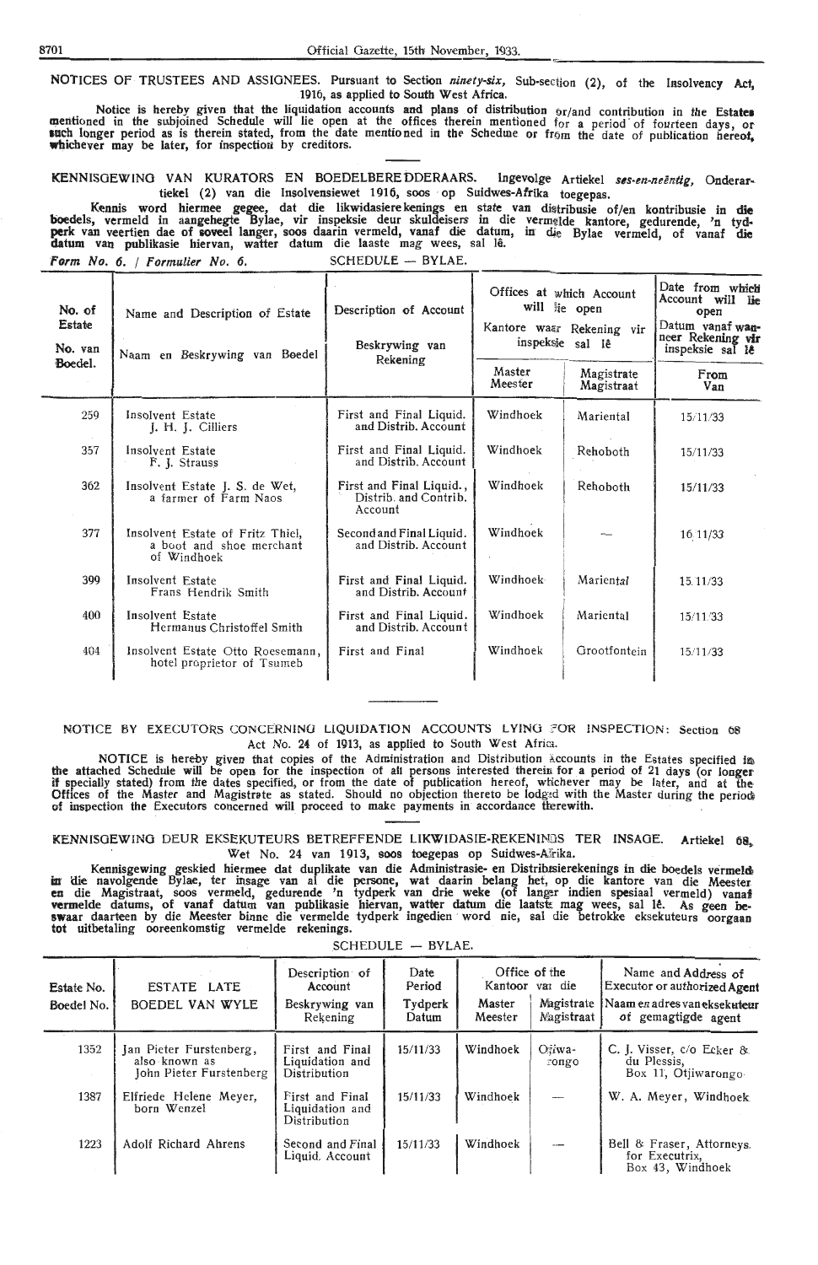NOTICES OF TRUSTEES AND ASSIGNEES. Pursuant to Section *ninety-six*, Sub-section (2), of the Insolvency Act, 1916, as applied to South West Africa.

Notice is hereby given that the liquidation accounts and plans of distribution or/and contribution in the **Estate•**  mentioned in the subjoined Schedule will lie open at the offices therein mentioned for a period of fourteen days, or**such longer period as is therein stated, from the date mentioned in the Schedure or from the date of publication hereof,** whichever may be later, for inspection by creditors.

KENNISGEWING VAN KURATORS EN BOEDELBERE DDERAARS. Ingevolge Artiekel *ses-en-neëntig*, Onderartiekel (2) van die lnsolvensiewet 1916, soos · op Suidwes-Afrika toegepas.

Kennis word hiermee gegee, dat die likwidasierekenings en state van diitribusie of/en kontribusie in **die**  boedels, vermeld in aangehegte Bylae, vir inspeksie deur skuldeisers in die vermelde kantore, gedurende, 'n tydperk van veertien dae of soveel langer, soos daarin vermeld, vanaf die datum, in die Bylae vermeld, of vanaf die **datum van publikasie hiervan, watter datum die laaste mag wees, sal l<del>ê</del>.** 

| Form No. 6. / Formulier No. 6. |  |  |  |
|--------------------------------|--|--|--|
|--------------------------------|--|--|--|

 $SCHEDULE - BYLAE.$ 

| No. of<br>Estate<br>No. van | Name and Description of Estate<br>Naam en Beskrywing van Boedel             | Description of Account<br>Beskrywing van<br>Rekening         | Offices at which Account<br>will lie open | Kantore waar Rekening vir<br>inspeksie sal lê | Date from which<br>Account will lie<br>open<br>Datum vanaf wan-<br>neer Rekening vir<br>inspeksie sal le |
|-----------------------------|-----------------------------------------------------------------------------|--------------------------------------------------------------|-------------------------------------------|-----------------------------------------------|----------------------------------------------------------------------------------------------------------|
| Boedel.                     |                                                                             |                                                              | Master<br>Meester                         | Magistrate<br>Magistraat                      | From<br>Van                                                                                              |
| 259                         | Insolvent Estate<br>J. H. J. Cilliers                                       | First and Final Liquid.<br>and Distrib. Account              | Windhoek                                  | Mariental                                     | 15/11/33                                                                                                 |
| 357                         | Insolvent Estate<br>F. J. Strauss                                           | First and Final Liquid.<br>and Distrib. Account              | Windhoek                                  | Rehoboth                                      | 15/11/33                                                                                                 |
| 362                         | Insolvent Estate J. S. de Wet,<br>a farmer of Farm Naos                     | First and Final Liquid.,<br>Distrib. and Contrib.<br>Account | Windhoek                                  | Rehoboth                                      | 15/11/33                                                                                                 |
| 377                         | Insolvent Estate of Fritz Thiel,<br>a boot and shoe merchant<br>of Windhoek | Second and Final Liquid.<br>and Distrib. Account             | Windhoek                                  |                                               | 16 11/33                                                                                                 |
| 399                         | Insolvent Estate<br>Frans Hendrik Smith                                     | First and Final Liquid.<br>and Distrib. Account              | Windhoek                                  | Mariental                                     | 15.11/33                                                                                                 |
| 400                         | Insolvent Estate<br>Hermanus Christoffel Smith                              | First and Final Liquid.<br>and Distrib. Account              | Windhoek                                  | Mariental                                     | 15/11/33                                                                                                 |
| 404                         | Insolvent Estate Otto Roesemann,<br>hotel proprietor of Tsumeb              | First and Final                                              | Windhoek                                  | Grootfontein                                  | 15/11/33                                                                                                 |

#### NOTICE BY EXECUTORS CONCERNING LIQUIDATION ACCOUNTS LYING ?OR INSPECTION: Section 08 Act No. 24 of 1913, as applied to South West Africa.

NOTICE is hereby given that copies of the Administration and Distribution Accounts in the Estates specified in the attached Schedule will be open for the inspection of all persons interested therein for a period of 21 days (or longer if specially stated) from the dates specified, or from the date of publication hereof, whichever may be later, and at the Offices of the Master and Magistrate as stated. Should no objection thereto be lodged with the Master during the period of inspection the Executors concerned will proceed to make payments in accordance therewith.

KENNISGEWING DEUR EKSEKUTEURS BETREFFENDE LIKWIDASIE-REKENINGS TER INSAGE. Artiekel 68, Wet No. 24 van 1913, soos toegepas op Suidwes-A<sup>T</sup>rika.<br>geskied hiermee dat duplikate van die Administrasie- en Distribisierekenings in die boedels vermelde

Kennisgewing geskied hiermee dat duplikate van die Administrasie en Distribusierekenings in die boedels vermeld<br>In die navolgende Bylae, ter insage van al die persone, wat daarin belang het, op die kantore van die Meester **en** die Magistraat, soos vermeld, gedurende 'n tydperk van drie weke (of langer indien spesiaal vermeld) vanaf vermelde datums, of vanaf datum van publikasie hiervan, watter datum die laatste mag wees, sal Iê. As geen be**swaar** daarteen by die Meester binne die vermelde tydperk ingedien · word nie, sal die betrokke eksekuteurs oorgaan tot uitbetaling ooreenkomstig vermelde rekenings.

| BYLAE.<br><b>SCHEDULE</b> |  |  |  |  |  |
|---------------------------|--|--|--|--|--|
|---------------------------|--|--|--|--|--|

| Estate No.<br>Boedel No. | ESTATE LATE<br>BOEDEL VAN WYLE                                      | Description of<br>Account<br>Beskrywing van<br>Rekening | Date<br>Period<br>Tydperk<br>Datum | Master<br>Meester | Office of the<br>Kantoor var die<br>Magistrate<br>Nagistraat | Name and Address of<br>Executor or authorized Agent<br>  Naam en adres van eksekuteur<br>of gemagtigde agent |
|--------------------------|---------------------------------------------------------------------|---------------------------------------------------------|------------------------------------|-------------------|--------------------------------------------------------------|--------------------------------------------------------------------------------------------------------------|
| 1352                     | Jan Pieter Furstenberg,<br>also known as<br>John Pieter Furstenberg | First and Final<br>Liquidation and<br>Distribution      | 15/11/33                           | Windhoek          | Oiiwa-<br>rongo                                              | C. J. Visser, $c/o$ Ecker &<br>du Plessis,<br>Box 11, Otiiwarongo                                            |
| 1387                     | Elfriede Helene Meyer.<br>born Wenzel                               | First and Final<br>Liquidation and<br>Distribution      | 15/11/33                           | Windhoek          | $\overline{a}$                                               | W. A. Meyer, Windhoek                                                                                        |
| 1223                     | <b>Adolf Richard Ahrens</b>                                         | Second and Final<br>Liquid. Account                     | 15/11/33                           | Windhoek          | ---                                                          | Bell & Fraser, Attorneys.<br>for Executrix,<br>Box 43, Windhoek                                              |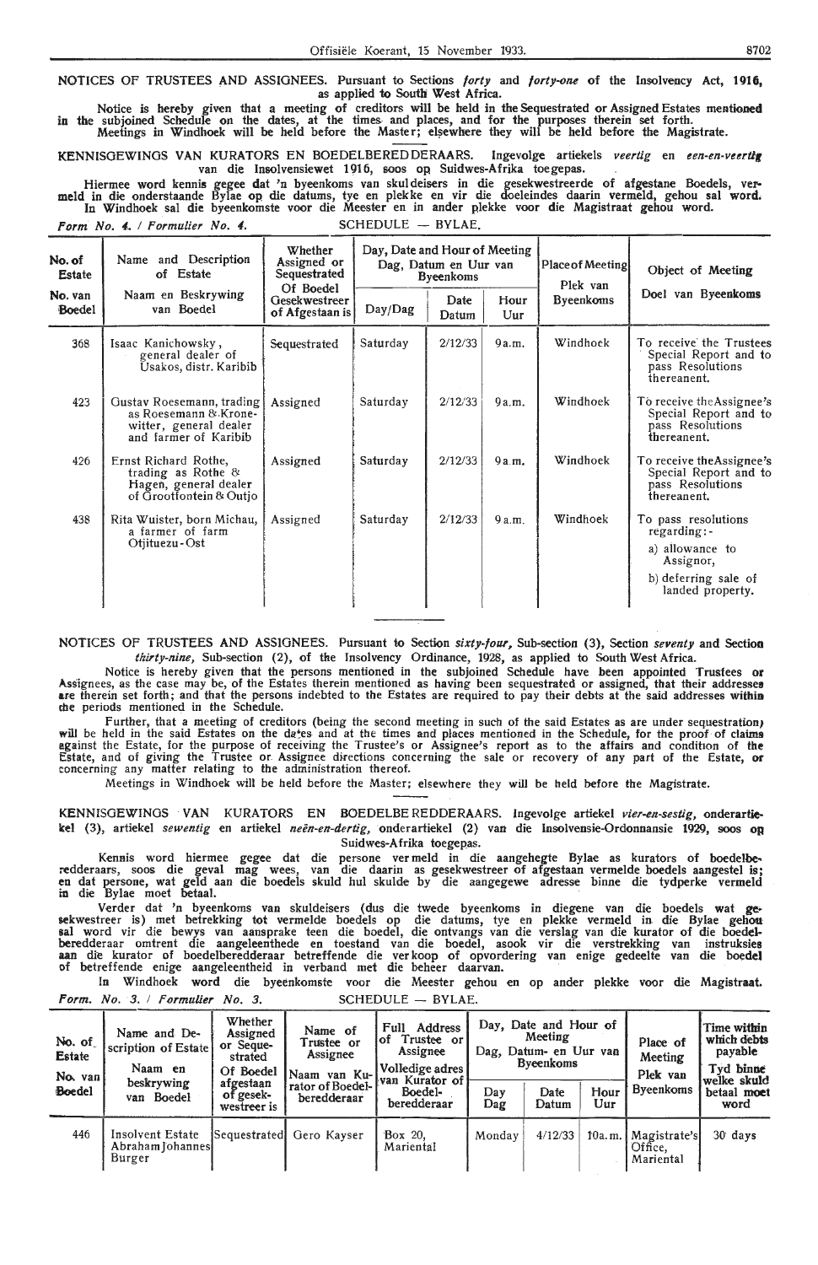NOTICES OF TRUSTEES AND ASSIGNEES. Pursuant to Sections *forty* and *forty:-an.e* of the Insolvency Act, **1916,**  as applied to South West Africa.

Notice is hereby given that a meeting of creditors will be held in the Sequestrated or Assigned Estates mentioned in the subjoined Schedule on the dates, at the times and places, and for the purposes therein set forth. Meetings in Windhoek will be held before the Master; elsewhere they will be held before the Magistrate.

KENNISGEWINGS VAN KURATORS EN BOEDELBERED DERAARS. Ingevolge artiekels *veertig* en een-en-veertig van die Insolvensiewet 1916, soos op Suidwes-Afrika toegepas.

Hiermee word kennis gegee dat 'n byeenkoms van skuldeisers in die gesekwestreerde of afgestane Boedels, vermeld in die onderstaande Bylae op die datums, tye en plekke en vir die doeleindes daarin vermeld, gehou sal word. In Windhoek sal die byeenkomste voor die Meester en in ander plekke voor die Magistraat gehou word.  $\blacksquare$ 

*Form No. 4. / Formulier No. 4.* SCHEDULE - BYLAE.

| No. of<br><b>Estate</b> | Name and Description<br>of Estate<br>Naam en Beskrywing<br>van Boedel<br><b>Boedel</b>                | Whether<br>Assigned or<br>Sequestrated<br>Of Boedel<br>Gesekwestreer<br>of Afgestaan is | Day, Date and Hour of Meeting<br>Dag, Datum en Uur van<br><b>B</b> veenkoms |               |                | Place of Meeting<br>Plek van | Object of Meeting                                                                                              |  |
|-------------------------|-------------------------------------------------------------------------------------------------------|-----------------------------------------------------------------------------------------|-----------------------------------------------------------------------------|---------------|----------------|------------------------------|----------------------------------------------------------------------------------------------------------------|--|
| No. van                 |                                                                                                       |                                                                                         | Day/Dag                                                                     | Date<br>Datum | Hour<br>$U$ ur | <b>Byeenkoms</b>             | Doel van Byeenkoms                                                                                             |  |
| 368                     | Isaac Kanichowsky,<br>general dealer of<br>Usakos, distr. Karibib                                     | Sequestrated                                                                            | Saturday                                                                    | 2/12/33       | 9a.m.          | Windhoek                     | To receive the Trustees<br>Special Report and to<br>pass Resolutions<br>thereanent.                            |  |
| 423                     | Gustav Roesemann, trading<br>as Roesemann & Krone-<br>witter, general dealer<br>and farmer of Karibib | Assigned                                                                                | Saturday                                                                    | 2/12/33       | 9a.m.          | Windhoek                     | To receive the Assignee's<br>Special Report and to<br>pass Resolutions<br>thereanent.                          |  |
| 426                     | Ernst Richard Rothe,<br>trading as Rothe $\&$<br>Hagen, general dealer<br>of Grootfontein & Outio     | Assigned                                                                                | Saturday                                                                    | 2/12/33       | 9a.m.          | Windhoek                     | To receive the Assignee's<br>Special Report and to<br>pass Resolutions<br>thereanent.                          |  |
| 438                     | Rita Wuister, born Michau,<br>a farmer of farm<br>Otjituezu - Ost                                     | Assigned                                                                                | Saturday                                                                    | 2/12/33       | 9a.m.          | Windhoek                     | To pass resolutions<br>regarding:-<br>a) allowance to<br>Assignor,<br>b) deferring sale of<br>landed property. |  |

NOTICES OF TRUSTEES AND ASSIGNEES. Pursuant to Section *sixty-four,* Sub-section (3), Section *seventy* and Section *thirty-nine,* Sub-section (2), of the Insolvency Ordinance, 1928, as applied to South West Africa.

Notice is hereby given that the persons mentioned in the subjoined Schedule have been appointed Trustees **or**  Assignees, as the case may be, of the Estates therein mentioned as having been sequestrated or assigned, that their addresses are therein set forth; and that the persons indebted to the Estates are required to pay their de the periods mentioned in the Schedule.

Further, that a meeting of creditors (being the second meeting in such of the said Estates as are under sequestration} will be held in the said Estates on the da\*es and at the times and places mentioned in the Schedule, for the proof of claims egainst the Estate, for the purpose of receiving the Trustee's or Assignee's report as to the affairs- and condition of **the**  Estate, and of giving the Trustee or Assignee directions concerning the sale or recovery of any part of the Estate, or concerning any matter relating to the administration thereof.

Meetings in Windhoek will be held before the Master; elsewhere they will be held before the Magistrate.

KENNISOEWINOS · VAN KURATORS EN BOEDELBEREDDERAARS. Ingevolge artiekel *vier-en-sestig,* onderartiekel (3), artiekel *sewentig* en artiekel *neen-en-dertig,* onderartiekel (2) van die lnsolvensie-Ordonnansie 1929, soos OR Suidwes-Afrika toegepas.

Kennis word hicrmee gegee dat die persone ver meld in die aangehegte Bylae as kurators of boedelbe, redderaars, soos die geval mag wees, van die daarin as gesekwestreer of afgestaan vermelde boedels aangestel is;<br>en dat persone, wat geld aan die boedels skuld hul skulde by die aangegewe adresse binne die tydperke vermeld in die Bylae moet betaal.

Verder dat 'n byeenkoms van skuldeisers (dus die twede byeenkoms in diegene van die boedels wat gesekwestreer is) met betrekking tot vermelde boedels op die datums, tye en plekke vermeld in die Bylae gehou sal word vir die bewys van aansprake teen die boedel, die ontvangs van die verslag van die kurator of die boedelberedderaar omtrent die aangeleenthede en toestand van die boedel, asook vir die verstrekking van instruksies<br>aan die kurator of boedelberedderaar betreffende die verkoop of opvordering van enige gedeelte van die boe**del** of betreffende enige aangeleentheid in verband met die beheer daarvan. ·

In Windhoek word die byeenkomste voor die Meester gehou en op ander plekke voor die Magistraat. *Form. No. 3. / Formulier No. 3.* SCHEDULE - BYLAE.

| No. of<br><b>Estate</b><br>No. van | Name and De-<br>scription of Estate<br>Naam en | Whether<br>Assigned<br>or Seque-<br>strated<br>Of Boedel | Name of<br>Trustee or<br>Assignee<br>Naam<br>van Ku-l<br>rator of Boedel-<br>beredderaar | Address<br>Full<br>Trustee or<br>lof<br>Assignee<br>Volledige adres<br><b>Ivan Kurator of</b><br>Boedel-<br>beredderaar | Day, Date and Hour of<br>Meeting<br>Dag, Datum- en Uur van<br><b>Byeenkoms</b> |               |             | Place of<br>Meeting<br>Plek van       | <b>Time within</b><br>which debts<br>payable<br>Tvd binne |
|------------------------------------|------------------------------------------------|----------------------------------------------------------|------------------------------------------------------------------------------------------|-------------------------------------------------------------------------------------------------------------------------|--------------------------------------------------------------------------------|---------------|-------------|---------------------------------------|-----------------------------------------------------------|
| Boedel                             | beskrywing<br>van Boedel                       | afgestaan<br>of gesek-<br>westreer is                    |                                                                                          |                                                                                                                         | Dav<br>Dag                                                                     | Date<br>Datum | Hour<br>Uur | <b>Byeenkoms</b>                      | welke skuld<br>betaal moet<br>word                        |
| 446                                | Insolvent Estate<br>Abraham Johannes<br>Burger | Sequestratedl                                            | Gero Kavser                                                                              | Box 20.<br>Mariental                                                                                                    | Monday                                                                         | 4/12/33       | 10a.m.      | Magistrate'sl<br>Office.<br>Mariental | $30$ days                                                 |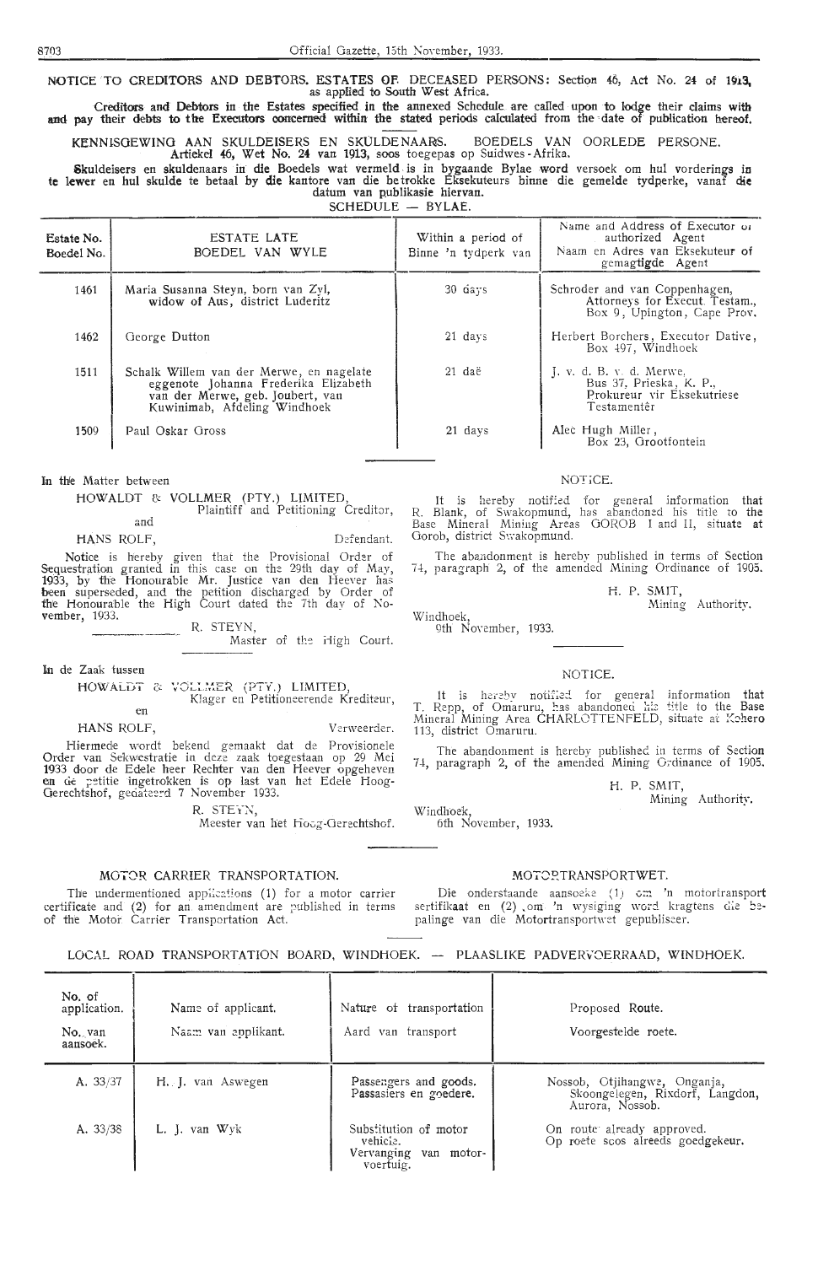NOTICE TO CREDITORS AND DEBTORS. ESTATES OF DECEASED PERSONS: Section 46, Act No. 24 of 1913, as applied to South West Africa.

Creditors and Debtors in the Estates specified in the annexed Schedule are called upon to lodge their claims with and pay their debts to the Executors concerned within the stated periods calculated from the date of publication hereof.

KENNISGEWING AAN SKULDEISERS EN SKULDENAARS. BOEDELS VAN OORLEDE PERSONE.

Artiekel 46, Wet No. 24 van 1913, soos toegepas op Suidwes -Afrika.

Skuldeisers en skuldenaars in die Boedels wat vermeld. is in bygaande Bylae word versoek om hul vorderings in **te** lewer en hul skulde te betaal by die kantore van die be trokke Eksekuteurs binne die gemelde tydperke, vanaf die datum van publikasie hiervan.

SCHEDULE - BYLAE.

| Estate No.<br>Boedel No. | <b>ESTATE LATE</b><br>BOEDEL VAN WYLE                                                                                                                | Within a period of<br>Binne 'n tydperk van | Name and Address of Executor of<br>authorized Agent<br>Naam en Adres van Eksekuteur of<br>gemagtigde Agent |
|--------------------------|------------------------------------------------------------------------------------------------------------------------------------------------------|--------------------------------------------|------------------------------------------------------------------------------------------------------------|
| 1461                     | Maria Susanna Steyn, born van Zyl,<br>widow of Aus, district Luderitz                                                                                | 30 days                                    | Schroder and van Coppenhagen,<br>Attorneys for Execut. Testam.,<br>Box 9, Upington, Cape Prov.             |
| 1462                     | George Dutton                                                                                                                                        | 21 days                                    | Herbert Borchers, Executor Dative,<br>Box 497, Windhoek                                                    |
| 1511                     | Schalk Willem van der Merwe, en nagelate<br>eggenote Johanna Frederika Elizabeth<br>van der Merwe, geb. Joubert, van<br>Kuwinimab, Afdeling Windhoek | 21 daë                                     | $I, v, d, B, v, d.$ Merwe,<br>Bus 37, Prieska, K. P.,<br>Prokureur vir Eksekutriese<br>Testamentêr         |
| 1509                     | Paul Oskar Gross                                                                                                                                     | 21 days                                    | Alec Hugh Miller,<br>Box 23, Grootfontein                                                                  |

In the Matter between

HOWALDT & VOLLMER (PTY.) LIMITED,<br>Plaintiff and Petitioning Creditor, and

HANS ROLF, Defendant.

Notioe is hereby given that the Provisional Order of Sequestration granted in this case on the 29th day of May, 1933, by the Honourable Mr. Justice van den Heever has been superseded, and the petition discharged by Order of thle Honourable the High Court dated the 7th day of November, 1933.

R. STEYN,

Master of the iligh Court.

In de Zaak tussen

HOWALDT & VOLLMER (PTY.) LIMITED. Klager en Petitioneerende Krediteur, en

HANS ROLF, Verweerder.

Hiermede wordt be'kend gemaakt dat de Provisionele Order van Sekwestratie in deze zaak toegestaan op 29 Mei 1933 door de Edele heer Rechter van den Heever opgeheven **en** de petitie ingetrokken is op last van het Edele Hoog-Gerechtshof, geoateerd 7 November 1933.

R. STEYN,

Meester van het Hoog-Gerechtshof.

## MOTOR CARRIER TRANSPORTATION.

The undermentioned applications (1) for a motor carrier certificate and  $(2)$  for an amendment are published in terms of the Motor Carrier Transportation Act.

NOTICE.

It is hereby notified for general information that<br>R. Blank, of Swakopmund, has abandoned his title to the Base Mineral Mining Areas OOROB I and II, situate at Gorob, district Swakopmund.

The abandonment is hereby published in terms of Section 74, paragraph 2, of the amended Mining Ordinance of 1905.

H. P. SMIT,

Mining Authority.

Windhoek, 9th Nowmber, 1933.

#### NOT!CE.

It is hereby notified for general information that T. Repp, of Omaruru, has abandoned his title to the Base Mineral Mining Area CHARLOTTENFELD, situate at Kohero 113, district Omaruru.

The abandonment is hereby published in terms of Section 74, paragraph 2, of the amended Mining Ordinance of 1905.

H. P. SMIT,

Mining Authority.

Windhoek, 6th November, 1933.

#### **M0,2?.TRANSPORTWET.**

Die onderstaande aansoeke (1) om 'n motortransport sertifikaat en (2) om 'n wysiging word kragtens die bepalinge van die Motortransportwet gepubliseer.

#### LOCAL ROAD TRANSPORTATION BOARD, WINDHOEK. -- PLAASLIKE PADVERVOERRAAD, WINDHOEK.

| No. of<br>application.<br>No. van<br>aansoek. | Name of applicant.<br>Naam van applikant. | Nature of transportation<br>Aard van transport                          | Proposed Route.<br>Voorgestelde roete.                                             |
|-----------------------------------------------|-------------------------------------------|-------------------------------------------------------------------------|------------------------------------------------------------------------------------|
| A. 33/37                                      | H. J. van Aswegen                         | Passengers and goods.<br>Passasiers en goedere.                         | Nossob, Otjihangwe, Onganja,<br>Skoongelegen, Rixdorf, Langdon,<br>Aurora, Nossob. |
| A. 33/38                                      | L. J. van $Wyk$                           | Substitution of motor<br>vehicie.<br>Vervanging van motor-<br>voertuig. | On route already approved.<br>Op roete scos alreeds goedgekeur.                    |